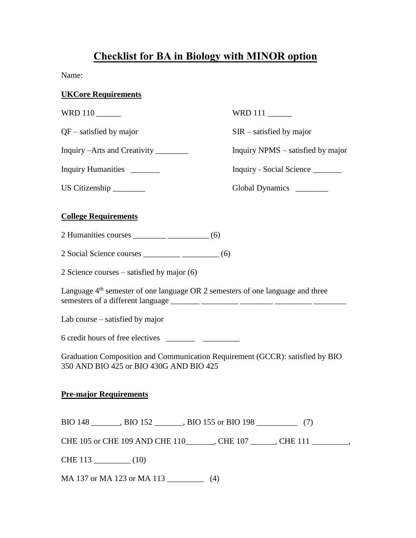## **Checklist for BA in Biology with MINOR option**

Name:

## **UKCore Requirements**

| WRD 110                                                                                                                  | WRD 111                           |  |
|--------------------------------------------------------------------------------------------------------------------------|-----------------------------------|--|
| $QF$ – satisfied by major                                                                                                | $SIR -$ satisfied by major        |  |
| Inquiry – Arts and Creativity _________                                                                                  | Inquiry NPMS – satisfied by major |  |
| Inquiry Humanities _______                                                                                               | Inquiry - Social Science          |  |
| US Citizenship                                                                                                           | Global Dynamics ________          |  |
| <b>College Requirements</b>                                                                                              |                                   |  |
|                                                                                                                          |                                   |  |
|                                                                                                                          |                                   |  |
| 2 Science courses – satisfied by major $(6)$                                                                             |                                   |  |
| Language $4th$ semester of one language OR 2 semesters of one language and three                                         |                                   |  |
| Lab course $-$ satisfied by major                                                                                        |                                   |  |
|                                                                                                                          |                                   |  |
| Graduation Composition and Communication Requirement (GCCR): satisfied by BIO<br>350 AND BIO 425 or BIO 430G AND BIO 425 |                                   |  |
| <b>Pre-major Requirements</b>                                                                                            |                                   |  |
|                                                                                                                          |                                   |  |

CHE 105 or CHE 109 AND CHE 110\_\_\_\_\_\_\_, CHE 107 \_\_\_\_\_\_, CHE 111 \_\_\_\_\_\_\_\_\_,

CHE 113 \_\_\_\_\_\_\_\_\_ (10)

MA 137 or MA 123 or MA 113 \_\_\_\_\_\_\_\_\_\_\_\_ (4)